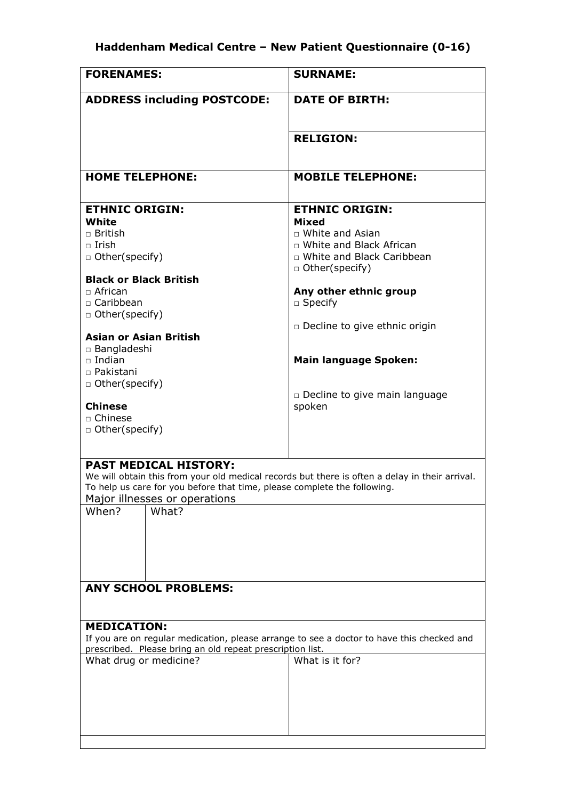| <b>FORENAMES:</b>                                                                                                                                                                                                                                                                                                                                                                                                                                                                                      | <b>SURNAME:</b>                                                                                                                                                                                                                                                                                      |  |  |
|--------------------------------------------------------------------------------------------------------------------------------------------------------------------------------------------------------------------------------------------------------------------------------------------------------------------------------------------------------------------------------------------------------------------------------------------------------------------------------------------------------|------------------------------------------------------------------------------------------------------------------------------------------------------------------------------------------------------------------------------------------------------------------------------------------------------|--|--|
| <b>ADDRESS including POSTCODE:</b>                                                                                                                                                                                                                                                                                                                                                                                                                                                                     | <b>DATE OF BIRTH:</b>                                                                                                                                                                                                                                                                                |  |  |
|                                                                                                                                                                                                                                                                                                                                                                                                                                                                                                        | <b>RELIGION:</b>                                                                                                                                                                                                                                                                                     |  |  |
| <b>HOME TELEPHONE:</b>                                                                                                                                                                                                                                                                                                                                                                                                                                                                                 | <b>MOBILE TELEPHONE:</b>                                                                                                                                                                                                                                                                             |  |  |
| <b>ETHNIC ORIGIN:</b><br>White<br>$\Box$ British<br>$\Box$ Irish<br>□ Other(specify)<br><b>Black or Black British</b><br>$\Box$ African<br>□ Caribbean<br>□ Other(specify)<br><b>Asian or Asian British</b><br>□ Bangladeshi<br>$\Box$ Indian<br>□ Pakistani<br>□ Other(specify)<br><b>Chinese</b><br>□ Chinese<br>$\Box$ Other(specify)                                                                                                                                                               | <b>ETHNIC ORIGIN:</b><br>Mixed<br>$\Box$ White and Asian<br>□ White and Black African<br>□ White and Black Caribbean<br>□ Other(specify)<br>Any other ethnic group<br>$\Box$ Specify<br>□ Decline to give ethnic origin<br><b>Main language Spoken:</b><br>□ Decline to give main language<br>spoken |  |  |
| <b>PAST MEDICAL HISTORY:</b><br>We will obtain this from your old medical records but there is often a delay in their arrival.<br>To help us care for you before that time, please complete the following.<br>Major illnesses or operations<br>When?<br>What?<br><b>ANY SCHOOL PROBLEMS:</b><br><b>MEDICATION:</b><br>If you are on regular medication, please arrange to see a doctor to have this checked and<br>prescribed. Please bring an old repeat prescription list.<br>What drug or medicine? | What is it for?                                                                                                                                                                                                                                                                                      |  |  |
|                                                                                                                                                                                                                                                                                                                                                                                                                                                                                                        |                                                                                                                                                                                                                                                                                                      |  |  |